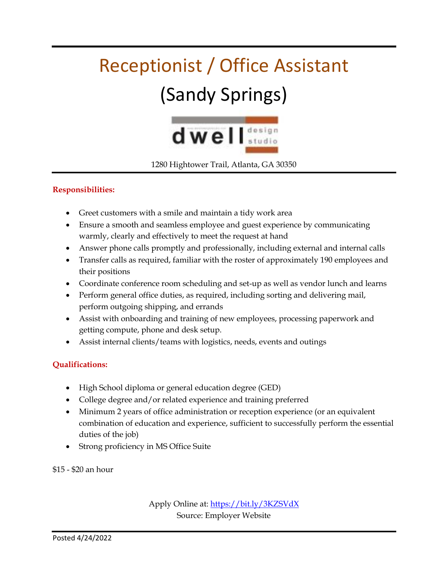# Receptionist / Office Assistant (Sandy Springs)



1280 Hightower Trail, Atlanta, GA 30350

#### **Responsibilities:**

- Greet customers with a smile and maintain a tidy work area
- Ensure a smooth and seamless employee and guest experience by communicating warmly, clearly and effectively to meet the request at hand
- Answer phone calls promptly and professionally, including external and internal calls
- Transfer calls as required, familiar with the roster of approximately 190 employees and their positions
- Coordinate conference room scheduling and set-up as well as vendor lunch and learns
- Perform general office duties, as required, including sorting and delivering mail, perform outgoing shipping, and errands
- Assist with onboarding and training of new employees, processing paperwork and getting compute, phone and desk setup.
- Assist internal clients/teams with logistics, needs, events and outings

### **Qualifications:**

- High School diploma or general education degree (GED)
- College degree and/or related experience and training preferred
- Minimum 2 years of office administration or reception experience (or an equivalent combination of education and experience, sufficient to successfully perform the essential duties of the job)
- Strong proficiency in MS Office Suite

\$15 - \$20 an hour

Apply Online at[: https://bit.ly/3KZSVdX](https://bit.ly/3KZSVdX) Source: Employer Website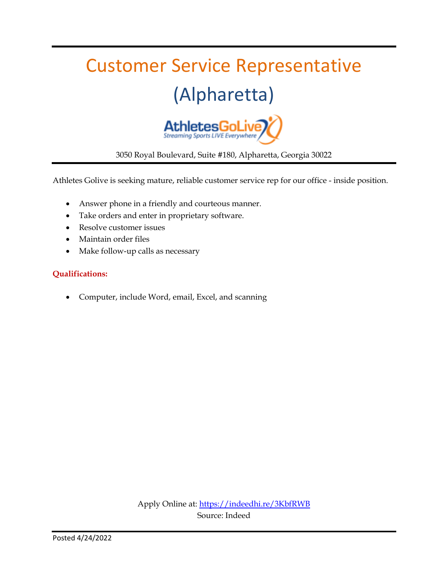# Customer Service Representative (Alpharetta)



3050 Royal Boulevard, Suite #180, Alpharetta, Georgia 30022

Athletes Golive is seeking mature, reliable customer service rep for our office - inside position.

- Answer phone in a friendly and courteous manner.
- Take orders and enter in proprietary software.
- Resolve customer issues
- Maintain order files
- Make follow-up calls as necessary

### **Qualifications:**

Computer, include Word, email, Excel, and scanning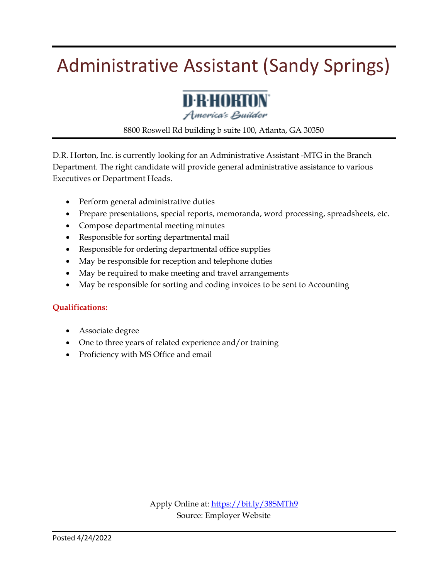### Administrative Assistant (Sandy Springs)



8800 Roswell Rd building b suite 100, Atlanta, GA 30350

D.R. Horton, Inc. is currently looking for an Administrative Assistant -MTG in the Branch Department. The right candidate will provide general administrative assistance to various Executives or Department Heads.

- Perform general administrative duties
- Prepare presentations, special reports, memoranda, word processing, spreadsheets, etc.
- Compose departmental meeting minutes
- Responsible for sorting departmental mail
- Responsible for ordering departmental office supplies
- May be responsible for reception and telephone duties
- May be required to make meeting and travel arrangements
- May be responsible for sorting and coding invoices to be sent to Accounting

#### **Qualifications:**

- Associate degree
- One to three years of related experience and/or training
- Proficiency with MS Office and email

Apply Online at:<https://bit.ly/38SMTh9> Source: Employer Website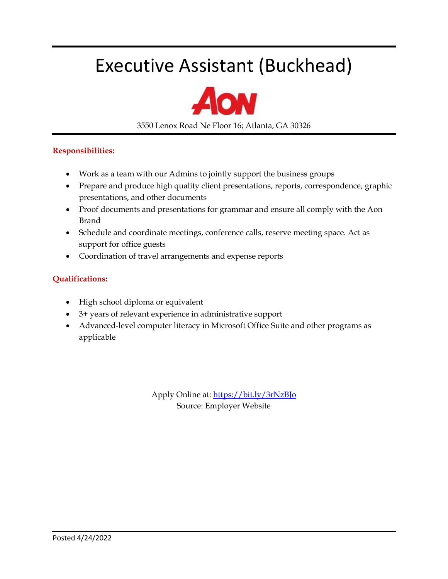### Executive Assistant (Buckhead)



3550 Lenox Road Ne Floor 16; Atlanta, GA 30326

#### **Responsibilities:**

- Work as a team with our Admins to jointly support the business groups
- Prepare and produce high quality client presentations, reports, correspondence, graphic presentations, and other documents
- Proof documents and presentations for grammar and ensure all comply with the Aon Brand
- Schedule and coordinate meetings, conference calls, reserve meeting space. Act as support for office guests
- Coordination of travel arrangements and expense reports

#### **Qualifications:**

- High school diploma or equivalent
- 3+ years of relevant experience in administrative support
- Advanced-level computer literacy in Microsoft Office Suite and other programs as applicable

Apply Online at:<https://bit.ly/3rNzBJo> Source: Employer Website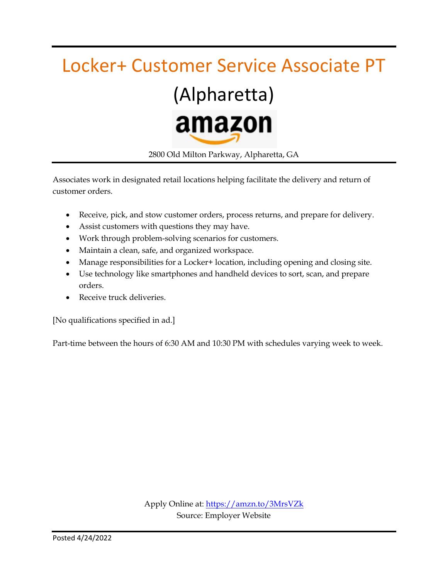### Locker+ Customer Service Associate PT



2800 Old Milton Parkway, Alpharetta, GA

Associates work in designated retail locations helping facilitate the delivery and return of customer orders.

- Receive, pick, and stow customer orders, process returns, and prepare for delivery.
- Assist customers with questions they may have.
- Work through problem-solving scenarios for customers.
- Maintain a clean, safe, and organized workspace.
- Manage responsibilities for a Locker+ location, including opening and closing site.
- Use technology like smartphones and handheld devices to sort, scan, and prepare orders.
- Receive truck deliveries.

[No qualifications specified in ad.]

Part-time between the hours of 6:30 AM and 10:30 PM with schedules varying week to week.

Apply Online at:<https://amzn.to/3MrsVZk> Source: Employer Website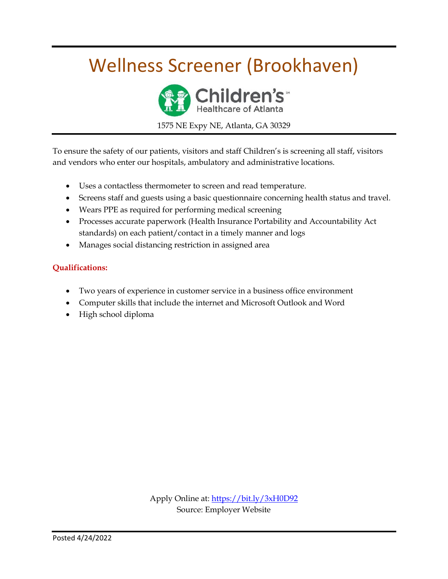### Wellness Screener (Brookhaven)



1575 NE Expy NE, Atlanta, GA 30329

To ensure the safety of our patients, visitors and staff Children's is screening all staff, visitors and vendors who enter our hospitals, ambulatory and administrative locations.

- Uses a contactless thermometer to screen and read temperature.
- Screens staff and guests using a basic questionnaire concerning health status and travel.
- Wears PPE as required for performing medical screening
- Processes accurate paperwork (Health Insurance Portability and Accountability Act standards) on each patient/contact in a timely manner and logs
- Manages social distancing restriction in assigned area

#### **Qualifications:**

- Two years of experience in customer service in a business office environment
- Computer skills that include the internet and Microsoft Outlook and Word
- High school diploma

Apply Online at:<https://bit.ly/3xH0D92> Source: Employer Website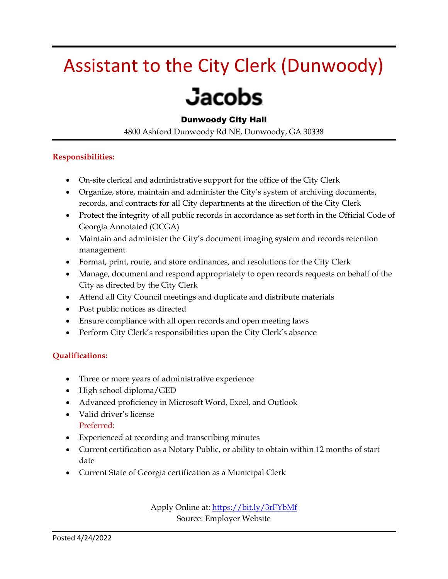### Assistant to the City Clerk (Dunwoody)

### **Jacobs**

### Dunwoody City Hall

4800 Ashford Dunwoody Rd NE, Dunwoody, GA 30338

### **Responsibilities:**

- On-site clerical and administrative support for the office of the City Clerk
- Organize, store, maintain and administer the City's system of archiving documents, records, and contracts for all City departments at the direction of the City Clerk
- Protect the integrity of all public records in accordance as set forth in the Official Code of Georgia Annotated (OCGA)
- Maintain and administer the City's document imaging system and records retention management
- Format, print, route, and store ordinances, and resolutions for the City Clerk
- Manage, document and respond appropriately to open records requests on behalf of the City as directed by the City Clerk
- Attend all City Council meetings and duplicate and distribute materials
- Post public notices as directed
- Ensure compliance with all open records and open meeting laws
- Perform City Clerk's responsibilities upon the City Clerk's absence

### **Qualifications:**

- Three or more years of administrative experience
- High school diploma/GED
- Advanced proficiency in Microsoft Word, Excel, and Outlook
- Valid driver's license Preferred:
- Experienced at recording and transcribing minutes
- Current certification as a Notary Public, or ability to obtain within 12 months of start date
- Current State of Georgia certification as a Municipal Clerk

Apply Online at:<https://bit.ly/3rFYbMf> Source: Employer Website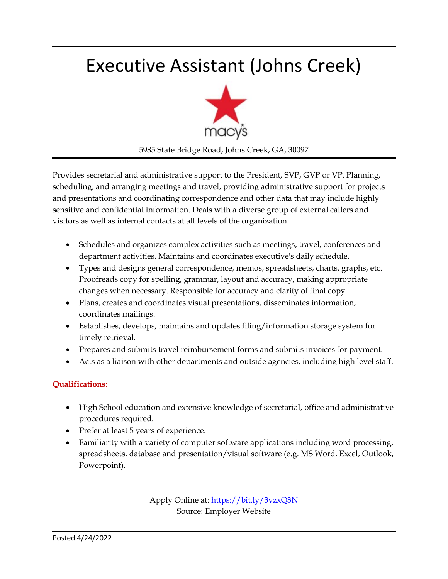### Executive Assistant (Johns Creek)



5985 State Bridge Road, Johns Creek, GA, 30097

Provides secretarial and administrative support to the President, SVP, GVP or VP. Planning, scheduling, and arranging meetings and travel, providing administrative support for projects and presentations and coordinating correspondence and other data that may include highly sensitive and confidential information. Deals with a diverse group of external callers and visitors as well as internal contacts at all levels of the organization.

- Schedules and organizes complex activities such as meetings, travel, conferences and department activities. Maintains and coordinates executive's daily schedule.
- Types and designs general correspondence, memos, spreadsheets, charts, graphs, etc. Proofreads copy for spelling, grammar, layout and accuracy, making appropriate changes when necessary. Responsible for accuracy and clarity of final copy.
- Plans, creates and coordinates visual presentations, disseminates information, coordinates mailings.
- Establishes, develops, maintains and updates filing/information storage system for timely retrieval.
- Prepares and submits travel reimbursement forms and submits invoices for payment.
- Acts as a liaison with other departments and outside agencies, including high level staff.

### **Qualifications:**

- High School education and extensive knowledge of secretarial, office and administrative procedures required.
- Prefer at least 5 years of experience.
- Familiarity with a variety of computer software applications including word processing, spreadsheets, database and presentation/visual software (e.g. MS Word, Excel, Outlook, Powerpoint).

Apply Online at:<https://bit.ly/3vzxQ3N> Source: Employer Website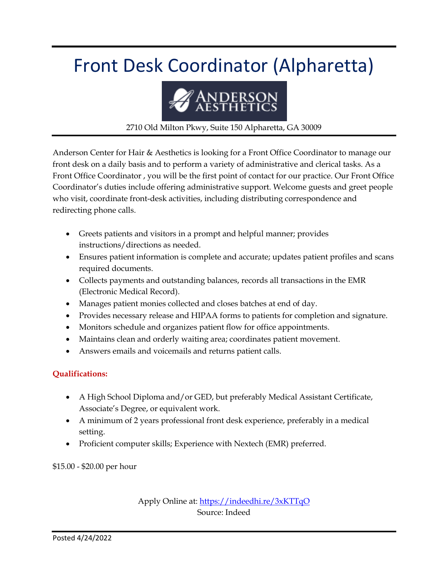### Front Desk Coordinator (Alpharetta)



2710 Old Milton Pkwy, Suite 150 Alpharetta, GA 30009

Anderson Center for Hair & Aesthetics is looking for a Front Office Coordinator to manage our front desk on a daily basis and to perform a variety of administrative and clerical tasks. As a Front Office Coordinator , you will be the first point of contact for our practice. Our Front Office Coordinator's duties include offering administrative support. Welcome guests and greet people who visit, coordinate front-desk activities, including distributing correspondence and redirecting phone calls.

- Greets patients and visitors in a prompt and helpful manner; provides instructions/directions as needed.
- Ensures patient information is complete and accurate; updates patient profiles and scans required documents.
- Collects payments and outstanding balances, records all transactions in the EMR (Electronic Medical Record).
- Manages patient monies collected and closes batches at end of day.
- Provides necessary release and HIPAA forms to patients for completion and signature.
- Monitors schedule and organizes patient flow for office appointments.
- Maintains clean and orderly waiting area; coordinates patient movement.
- Answers emails and voicemails and returns patient calls.

### **Qualifications:**

- A High School Diploma and/or GED, but preferably Medical Assistant Certificate, Associate's Degree, or equivalent work.
- A minimum of 2 years professional front desk experience, preferably in a medical setting.
- Proficient computer skills; Experience with Nextech (EMR) preferred.

\$15.00 - \$20.00 per hour

Apply Online at:<https://indeedhi.re/3xKTTqO> Source: Indeed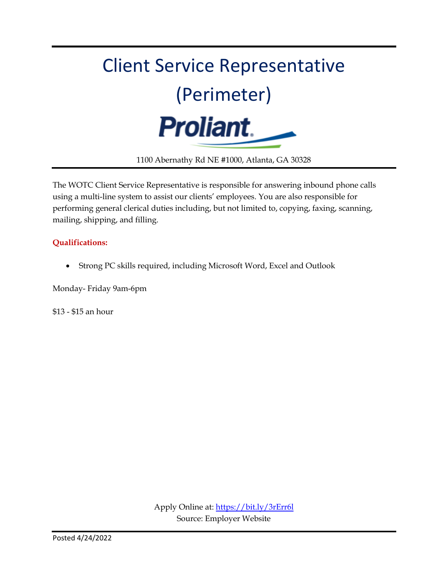

1100 Abernathy Rd NE #1000, Atlanta, GA 30328

The WOTC Client Service Representative is responsible for answering inbound phone calls using a multi-line system to assist our clients' employees. You are also responsible for performing general clerical duties including, but not limited to, copying, faxing, scanning, mailing, shipping, and filling.

#### **Qualifications:**

Strong PC skills required, including Microsoft Word, Excel and Outlook

Monday- Friday 9am-6pm

\$13 - \$15 an hour

Apply Online at:<https://bit.ly/3rErr6l> Source: Employer Website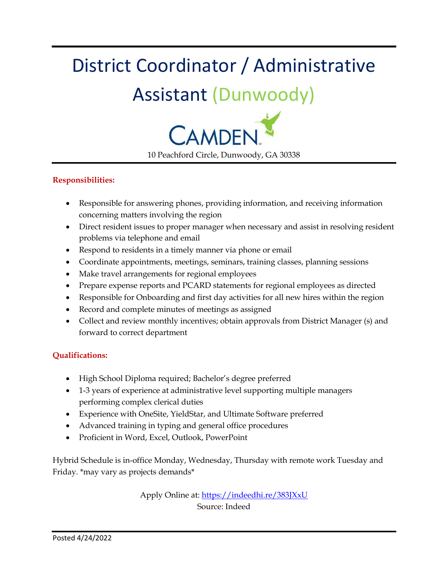### District Coordinator / Administrative Assistant (Dunwoody)



10 Peachford Circle, Dunwoody, GA 30338

#### **Responsibilities:**

- Responsible for answering phones, providing information, and receiving information concerning matters involving the region
- Direct resident issues to proper manager when necessary and assist in resolving resident problems via telephone and email
- Respond to residents in a timely manner via phone or email
- Coordinate appointments, meetings, seminars, training classes, planning sessions
- Make travel arrangements for regional employees
- Prepare expense reports and PCARD statements for regional employees as directed
- Responsible for Onboarding and first day activities for all new hires within the region
- Record and complete minutes of meetings as assigned
- Collect and review monthly incentives; obtain approvals from District Manager (s) and forward to correct department

### **Qualifications:**

- High School Diploma required; Bachelor's degree preferred
- 1-3 years of experience at administrative level supporting multiple managers performing complex clerical duties
- Experience with OneSite, YieldStar, and Ultimate Software preferred
- Advanced training in typing and general office procedures
- Proficient in Word, Excel, Outlook, PowerPoint

Hybrid Schedule is in-office Monday, Wednesday, Thursday with remote work Tuesday and Friday. \*may vary as projects demands\*

> Apply Online at[: https://indeedhi.re/383JXxU](https://indeedhi.re/383JXxU) Source: Indeed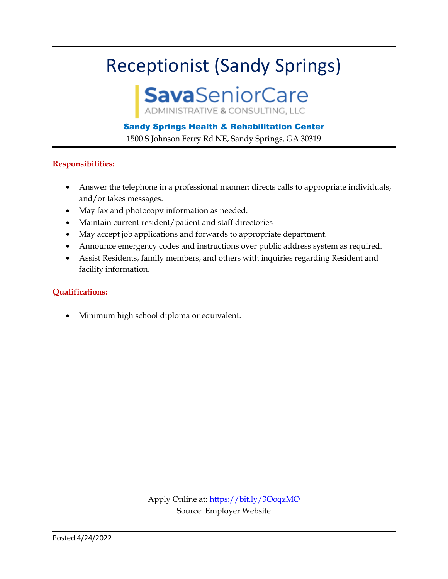### Receptionist (Sandy Springs)

# **SavaSeniorCare**

### Sandy Springs Health & Rehabilitation Center

1500 S Johnson Ferry Rd NE, Sandy Springs, GA 30319

#### **Responsibilities:**

- Answer the telephone in a professional manner; directs calls to appropriate individuals, and/or takes messages.
- May fax and photocopy information as needed.
- Maintain current resident/patient and staff directories
- May accept job applications and forwards to appropriate department.
- Announce emergency codes and instructions over public address system as required.
- Assist Residents, family members, and others with inquiries regarding Resident and facility information.

#### **Qualifications:**

• Minimum high school diploma or equivalent.

Apply Online at:<https://bit.ly/3OoqzMO> Source: Employer Website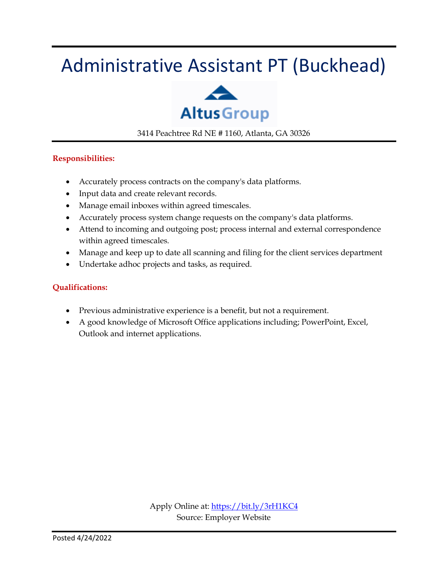### Administrative Assistant PT (Buckhead)



3414 Peachtree Rd NE # 1160, Atlanta, GA 30326

#### **Responsibilities:**

- Accurately process contracts on the company's data platforms.
- Input data and create relevant records.
- Manage email inboxes within agreed timescales.
- Accurately process system change requests on the company's data platforms.
- Attend to incoming and outgoing post; process internal and external correspondence within agreed timescales.
- Manage and keep up to date all scanning and filing for the client services department
- Undertake adhoc projects and tasks, as required.

#### **Qualifications:**

- Previous administrative experience is a benefit, but not a requirement.
- A good knowledge of Microsoft Office applications including; PowerPoint, Excel, Outlook and internet applications.

Apply Online at:<https://bit.ly/3rH1KC4> Source: Employer Website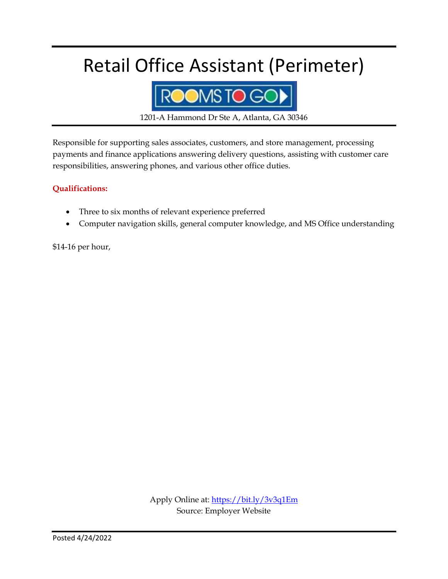### Retail Office Assistant (Perimeter)



1201-A Hammond Dr Ste A, Atlanta, GA 30346

Responsible for supporting sales associates, customers, and store management, processing payments and finance applications answering delivery questions, assisting with customer care responsibilities, answering phones, and various other office duties.

#### **Qualifications:**

- Three to six months of relevant experience preferred
- Computer navigation skills, general computer knowledge, and MS Office understanding

\$14-16 per hour,

Apply Online at:<https://bit.ly/3v3q1Em> Source: Employer Website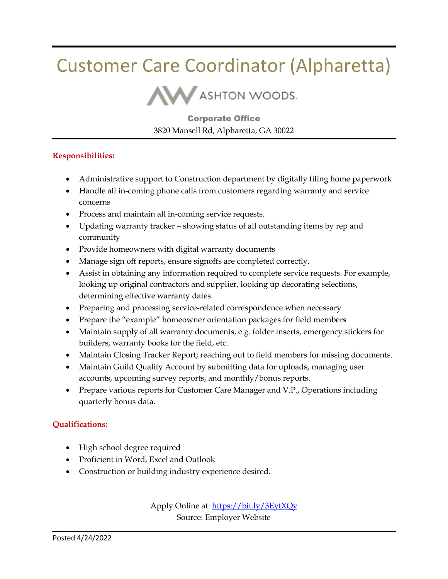### Customer Care Coordinator (Alpharetta)



Corporate Office 3820 Mansell Rd, Alpharetta, GA 30022

#### **Responsibilities:**

- Administrative support to Construction department by digitally filing home paperwork
- Handle all in-coming phone calls from customers regarding warranty and service concerns
- Process and maintain all in-coming service requests.
- Updating warranty tracker showing status of all outstanding items by rep and community
- Provide homeowners with digital warranty documents
- Manage sign off reports, ensure signoffs are completed correctly.
- Assist in obtaining any information required to complete service requests. For example, looking up original contractors and supplier, looking up decorating selections, determining effective warranty dates.
- Preparing and processing service-related correspondence when necessary
- Prepare the "example" homeowner orientation packages for field members
- Maintain supply of all warranty documents, e.g. folder inserts, emergency stickers for builders, warranty books for the field, etc.
- Maintain Closing Tracker Report; reaching out to field members for missing documents.
- Maintain Guild Quality Account by submitting data for uploads, managing user accounts, upcoming survey reports, and monthly/bonus reports.
- Prepare various reports for Customer Care Manager and V.P., Operations including quarterly bonus data.

### **Qualifications:**

- High school degree required
- Proficient in Word, Excel and Outlook
- Construction or building industry experience desired.

Apply Online at:<https://bit.ly/3EytXQy> Source: Employer Website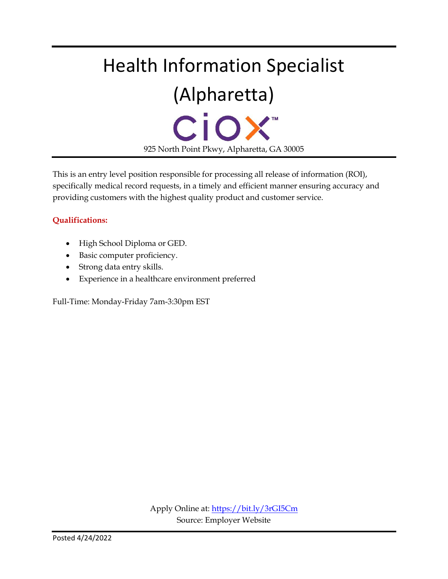### Health Information Specialist (Alpharetta) CiOX<sup>"</sup> 925 North Point Pkwy, Alpharetta, GA 30005

This is an entry level position responsible for processing all release of information (ROI), specifically medical record requests, in a timely and efficient manner ensuring accuracy and providing customers with the highest quality product and customer service.

### **Qualifications:**

- High School Diploma or GED.
- Basic computer proficiency.
- Strong data entry skills.
- Experience in a healthcare environment preferred

Full-Time: Monday-Friday 7am-3:30pm EST

Apply Online at:<https://bit.ly/3rGI5Cm> Source: Employer Website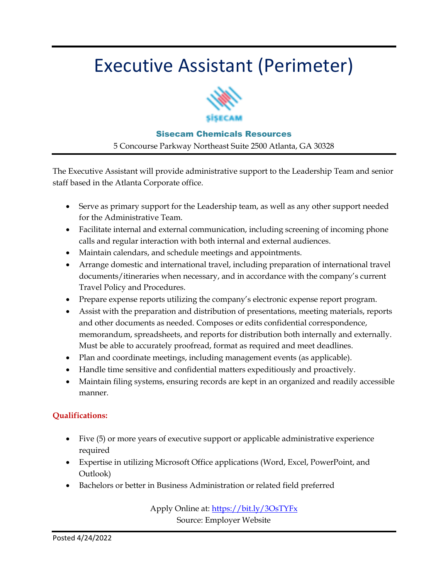### Executive Assistant (Perimeter)



#### Sisecam Chemicals Resources

5 Concourse Parkway Northeast Suite 2500 Atlanta, GA 30328

The Executive Assistant will provide administrative support to the Leadership Team and senior staff based in the Atlanta Corporate office.

- Serve as primary support for the Leadership team, as well as any other support needed for the Administrative Team.
- Facilitate internal and external communication, including screening of incoming phone calls and regular interaction with both internal and external audiences.
- Maintain calendars, and schedule meetings and appointments.
- Arrange domestic and international travel, including preparation of international travel documents/itineraries when necessary, and in accordance with the company's current Travel Policy and Procedures.
- Prepare expense reports utilizing the company's electronic expense report program.
- Assist with the preparation and distribution of presentations, meeting materials, reports and other documents as needed. Composes or edits confidential correspondence, memorandum, spreadsheets, and reports for distribution both internally and externally. Must be able to accurately proofread, format as required and meet deadlines.
- Plan and coordinate meetings, including management events (as applicable).
- Handle time sensitive and confidential matters expeditiously and proactively.
- Maintain filing systems, ensuring records are kept in an organized and readily accessible manner.

### **Qualifications:**

- Five (5) or more years of executive support or applicable administrative experience required
- Expertise in utilizing Microsoft Office applications (Word, Excel, PowerPoint, and Outlook)
- Bachelors or better in Business Administration or related field preferred

Apply Online at:<https://bit.ly/3OsTYFx> Source: Employer Website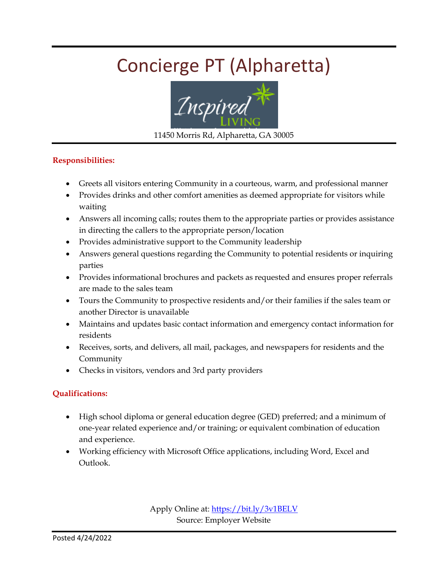# Concierge PT (Alpharetta)<br>
Zuspired



11450 Morris Rd, Alpharetta, GA 30005

#### **Responsibilities:**

- Greets all visitors entering Community in a courteous, warm, and professional manner
- Provides drinks and other comfort amenities as deemed appropriate for visitors while waiting
- Answers all incoming calls; routes them to the appropriate parties or provides assistance in directing the callers to the appropriate person/location
- Provides administrative support to the Community leadership
- Answers general questions regarding the Community to potential residents or inquiring parties
- Provides informational brochures and packets as requested and ensures proper referrals are made to the sales team
- Tours the Community to prospective residents and/or their families if the sales team or another Director is unavailable
- Maintains and updates basic contact information and emergency contact information for residents
- Receives, sorts, and delivers, all mail, packages, and newspapers for residents and the Community
- Checks in visitors, vendors and 3rd party providers

### **Qualifications:**

- High school diploma or general education degree (GED) preferred; and a minimum of one-year related experience and/or training; or equivalent combination of education and experience.
- Working efficiency with Microsoft Office applications, including Word, Excel and Outlook.

Apply Online at:<https://bit.ly/3v1BELV> Source: Employer Website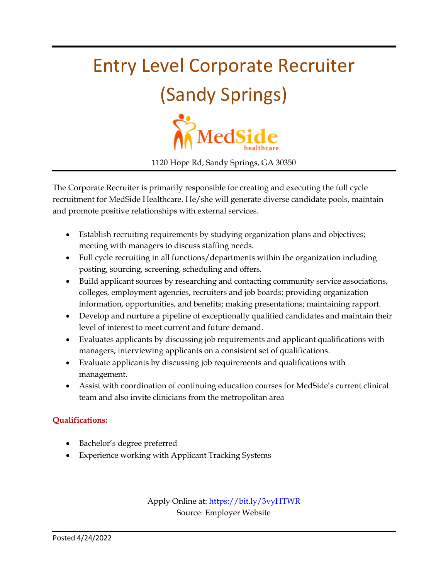## Entry Level Corporate Recruiter (Sandy Springs) **Exercise** 1120 Hope Rd, Sandy Springs, GA 30350

The Corporate Recruiter is primarily responsible for creating and executing the full cycle recruitment for MedSide Healthcare. He/she will generate diverse candidate pools, maintain and promote positive relationships with external services.

- Establish recruiting requirements by studying organization plans and objectives; meeting with managers to discuss staffing needs.
- Full cycle recruiting in all functions/departments within the organization including posting, sourcing, screening, scheduling and offers.
- Build applicant sources by researching and contacting community service associations, colleges, employment agencies, recruiters and job boards; providing organization information, opportunities, and benefits; making presentations; maintaining rapport.
- Develop and nurture a pipeline of exceptionally qualified candidates and maintain their level of interest to meet current and future demand.
- Evaluates applicants by discussing job requirements and applicant qualifications with managers; interviewing applicants on a consistent set of qualifications.
- Evaluate applicants by discussing job requirements and qualifications with management.
- Assist with coordination of continuing education courses for MedSide's current clinical team and also invite clinicians from the metropolitan area

### **Qualifications:**

- Bachelor's degree preferred
- Experience working with Applicant Tracking Systems

Apply Online at:<https://bit.ly/3vyHTWR> Source: Employer Website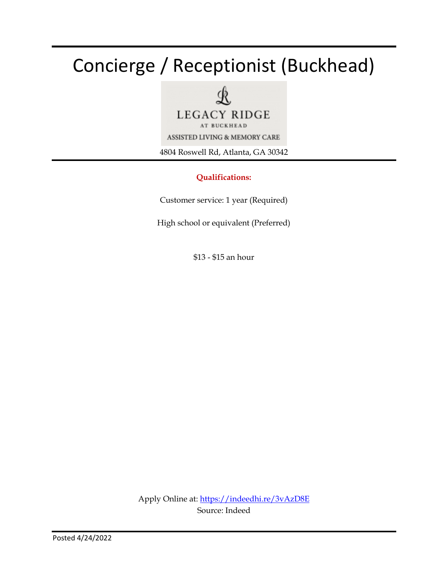### Concierge / Receptionist (Buckhead)



### **Qualifications:**

Customer service: 1 year (Required)

High school or equivalent (Preferred)

\$13 - \$15 an hour

Apply Online at:<https://indeedhi.re/3vAzD8E> Source: Indeed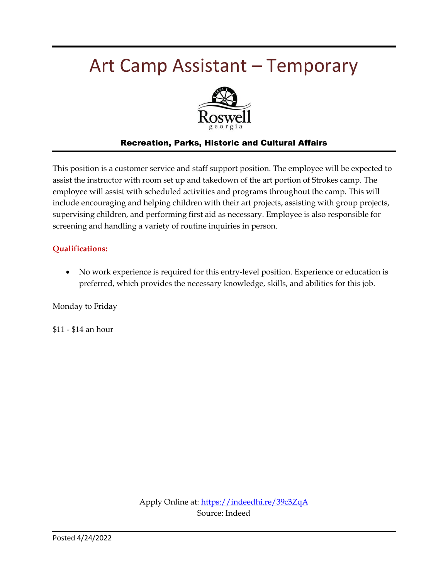### Art Camp Assistant – Temporary



### Recreation, Parks, Historic and Cultural Affairs

This position is a customer service and staff support position. The employee will be expected to assist the instructor with room set up and takedown of the art portion of Strokes camp. The employee will assist with scheduled activities and programs throughout the camp. This will include encouraging and helping children with their art projects, assisting with group projects, supervising children, and performing first aid as necessary. Employee is also responsible for screening and handling a variety of routine inquiries in person.

#### **Qualifications:**

 No work experience is required for this entry-level position. Experience or education is preferred, which provides the necessary knowledge, skills, and abilities for this job.

Monday to Friday

\$11 - \$14 an hour

Apply Online at:<https://indeedhi.re/39c3ZqA> Source: Indeed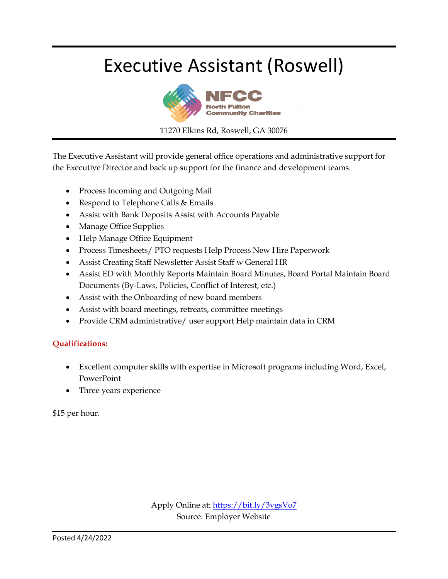### Executive Assistant (Roswell)



11270 Elkins Rd, Roswell, GA 30076

The Executive Assistant will provide general office operations and administrative support for the Executive Director and back up support for the finance and development teams.

- Process Incoming and Outgoing Mail
- Respond to Telephone Calls & Emails
- Assist with Bank Deposits Assist with Accounts Payable
- Manage Office Supplies
- Help Manage Office Equipment
- Process Timesheets/ PTO requests Help Process New Hire Paperwork
- Assist Creating Staff Newsletter Assist Staff w General HR
- Assist ED with Monthly Reports Maintain Board Minutes, Board Portal Maintain Board Documents (By-Laws, Policies, Conflict of Interest, etc.)
- Assist with the Onboarding of new board members
- Assist with board meetings, retreats, committee meetings
- Provide CRM administrative/ user support Help maintain data in CRM

### **Qualifications:**

- Excellent computer skills with expertise in Microsoft programs including Word, Excel, PowerPoint
- Three years experience

\$15 per hour.

Apply Online at:<https://bit.ly/3vgsVo7> Source: Employer Website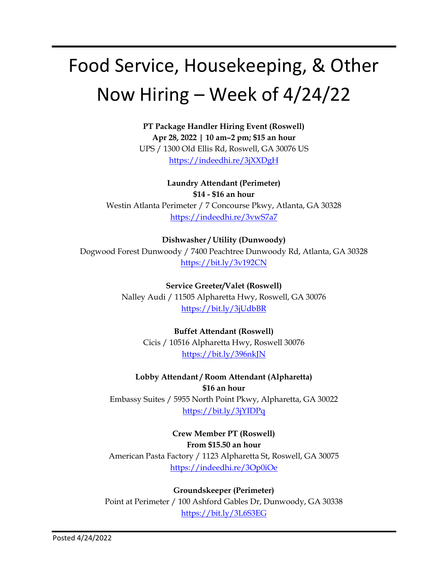### Food Service, Housekeeping, & Other Now Hiring – Week of 4/24/22

**PT Package Handler Hiring Event (Roswell) Apr 28, 2022 | 10 am–2 pm; \$15 an hour** UPS / 1300 Old Ellis Rd, Roswell, GA 30076 US <https://indeedhi.re/3jXXDgH>

**Laundry Attendant (Perimeter) \$14 - \$16 an hour** Westin Atlanta Perimeter / 7 Concourse Pkwy, Atlanta, GA 30328 <https://indeedhi.re/3vwS7a7>

**Dishwasher / Utility (Dunwoody)** Dogwood Forest Dunwoody / 7400 Peachtree Dunwoody Rd, Atlanta, GA 30328 <https://bit.ly/3v192CN>

> **Service Greeter/Valet (Roswell)** Nalley Audi / 11505 Alpharetta Hwy, Roswell, GA 30076 <https://bit.ly/3jUdbBR>

> > **Buffet Attendant (Roswell)** Cicis / 10516 Alpharetta Hwy, Roswell 30076 <https://bit.ly/396nkJN>

**Lobby Attendant / Room Attendant (Alpharetta) \$16 an hour** Embassy Suites / 5955 North Point Pkwy, Alpharetta, GA 30022 <https://bit.ly/3jYIDPq>

**Crew Member PT (Roswell) From \$15.50 an hour** American Pasta Factory / 1123 Alpharetta St, Roswell, GA 30075 <https://indeedhi.re/3Op0iOe>

**Groundskeeper (Perimeter)** Point at Perimeter / 100 Ashford Gables Dr, Dunwoody, GA 30338 <https://bit.ly/3L6S3EG>